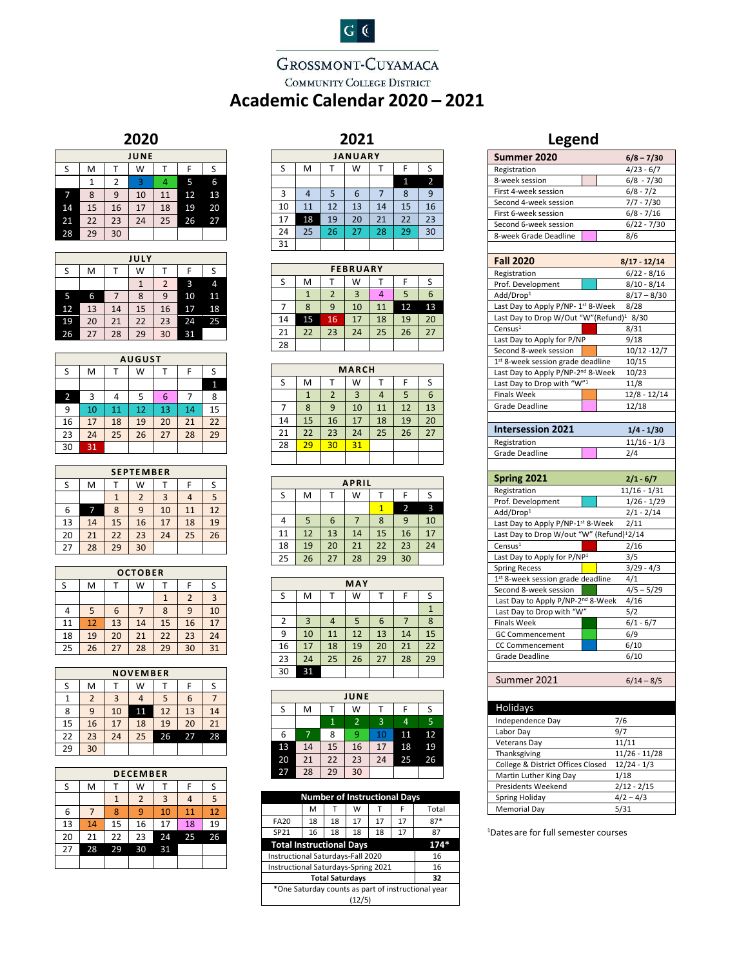# $G$   $C$

## GROSSMONT-CUYAMACA COMMUNITY COLLEGE DISTRICT **Academic Calendar 2020 – 2021**

#### **2020**

| JUNE |    |    |    |    |    |    |  |  |
|------|----|----|----|----|----|----|--|--|
| S    | M  |    | W  |    | F  | S  |  |  |
|      | 1  | 2  | 3  | 4  | 5  | 6  |  |  |
|      | 8  | 9  | 10 | 11 | 12 | 13 |  |  |
| 14   | 15 | 16 | 17 | 18 | 19 | 20 |  |  |
| 21   | 22 | 23 | 24 | 25 | 26 | 27 |  |  |
| 28   | 29 | 30 |    |    |    |    |  |  |

| JULY |    |    |    |                |    |    |  |  |
|------|----|----|----|----------------|----|----|--|--|
| S    | M  |    | W  |                | F  |    |  |  |
|      |    |    |    | $\overline{2}$ | 3  | 4  |  |  |
| 5    | 6  |    | 8  | 9              | 10 | 11 |  |  |
| 12   | 13 | 14 | 15 | 16             | 17 | 18 |  |  |
| 19   | 20 | 21 | 22 | 23             | 24 | 25 |  |  |
| 26   | 27 | 28 | 29 | 30             | 31 |    |  |  |

| <b>AUGUST</b> |    |    |    |                 |    |              |  |  |
|---------------|----|----|----|-----------------|----|--------------|--|--|
| S             | M  |    | W  |                 | F  | S            |  |  |
|               |    |    |    |                 |    | $\mathbf{1}$ |  |  |
| 2             | 3  | 4  | 5  | $6\phantom{1}6$ |    | 8            |  |  |
| 9             | 10 | 11 | 12 | 13              | 14 | 15           |  |  |
| 16            | 17 | 18 | 19 | 20              | 21 | 22           |  |  |
| 23            | 24 | 25 | 26 | 27              | 28 | 29           |  |  |
| 30            | 31 |    |    |                 |    |              |  |  |

| <b>SEPTEMBER</b> |    |    |    |    |    |    |  |
|------------------|----|----|----|----|----|----|--|
| S                | M  |    | W  |    | F  |    |  |
|                  |    |    | 2  | 3  |    | 5  |  |
| 6                | 7  | 8  | 9  | 10 | 11 | 12 |  |
| 13               | 14 | 15 | 16 | 17 | 18 | 19 |  |
| 20               | 21 | 22 | 23 | 24 | 25 | 26 |  |
| 27               | 28 | 29 | 30 |    |    |    |  |

| <b>OCTOBER</b> |    |    |    |    |                |    |  |
|----------------|----|----|----|----|----------------|----|--|
| S              | M  |    | W  |    |                | S  |  |
|                |    |    |    |    | $\overline{2}$ | 3  |  |
| 4              | 5  | 6  |    | 8  | 9              | 10 |  |
| 11             | 12 | 13 | 14 | 15 | 16             | 17 |  |
| 18             | 19 | 20 | 21 | 22 | 23             | 24 |  |
| 25             | 26 | 27 | 28 | 29 | 30             | 31 |  |

| <b>NOVEMBER</b> |                |    |    |    |    |    |  |  |
|-----------------|----------------|----|----|----|----|----|--|--|
| S               | M              |    | W  |    | F  | S  |  |  |
|                 | $\overline{2}$ | 3  |    | 5  | 6  |    |  |  |
| 8               | 9              | 10 | 11 | 12 | 13 | 14 |  |  |
| 15              | 16             | 17 | 18 | 19 | 20 | 21 |  |  |
| 22              | 23             | 24 | 25 | 26 | 27 | 28 |  |  |
| 29              | 30             |    |    |    |    |    |  |  |

| <b>DECEMBER</b> |    |    |                |                |    |    |  |
|-----------------|----|----|----------------|----------------|----|----|--|
| S               | M  |    | W              |                |    | S  |  |
|                 |    |    | $\overline{2}$ | $\overline{3}$ |    | 5  |  |
| 6               |    | 8  | 9              | 10             | 11 | 12 |  |
| 13              | 14 | 15 | 16             | 17             | 18 | 19 |  |
| 20              | 21 | 22 | 23             | 24             | 25 | 26 |  |
| 27              | 28 | 29 | 30             | 31             |    |    |  |
|                 |    |    |                |                |    |    |  |

**2021**

| <b>JANUARY</b> |    |    |    |    |    |                |  |
|----------------|----|----|----|----|----|----------------|--|
| S              | M  |    | W  |    | F  | S              |  |
|                |    |    |    |    | 1  | $\overline{2}$ |  |
| 3              | 4  | 5  | 6  |    | 8  | 9              |  |
| 10             | 11 | 12 | 13 | 14 | 15 | 16             |  |
| 17             | 18 | 19 | 20 | 21 | 22 | 23             |  |
| 24             | 25 | 26 | 27 | 28 | 29 | 30             |  |
| 31             |    |    |    |    |    |                |  |

| <b>FEBRUARY</b> |    |                |    |    |    |    |  |
|-----------------|----|----------------|----|----|----|----|--|
| S               | M  |                | W  |    | F  | S  |  |
|                 |    | $\overline{2}$ | 3  | 4  | 5  | 6  |  |
|                 | 8  | 9              | 10 | 11 | 12 | 13 |  |
| 14              | 15 | 16             | 17 | 18 | 19 | 20 |  |
| 21              | 22 | 23             | 24 | 25 | 26 | 27 |  |
| 28              |    |                |    |    |    |    |  |

| <b>MARCH</b> |    |                |    |    |    |    |  |  |
|--------------|----|----------------|----|----|----|----|--|--|
| S            | M  |                | W  |    | F  | S  |  |  |
|              |    | $\overline{2}$ | 3  | 4  | 5  | 6  |  |  |
|              | 8  | 9              | 10 | 11 | 12 | 13 |  |  |
| 14           | 15 | 16             | 17 | 18 | 19 | 20 |  |  |
| 21           | 22 | 23             | 24 | 25 | 26 | 27 |  |  |
| 28           | 29 | 30             | 31 |    |    |    |  |  |
|              |    |                |    |    |    |    |  |  |

|    | <b>APRIL</b> |                 |    |    |    |                |  |  |
|----|--------------|-----------------|----|----|----|----------------|--|--|
| S  | M            |                 | W  |    | F  | S              |  |  |
|    |              |                 |    |    | 2  | $\overline{3}$ |  |  |
|    | 5            | $6\phantom{1}6$ |    | 8  | 9  | 10             |  |  |
| 11 | 12           | 13              | 14 | 15 | 16 | 17             |  |  |
| 18 | 19           | 20              | 21 | 22 | 23 | 24             |  |  |
| 25 | 26           | 27              | 28 | 29 | 30 |                |  |  |

| MAY |    |    |    |                 |    |                 |  |  |
|-----|----|----|----|-----------------|----|-----------------|--|--|
| S   | M  |    | W  |                 | F  | S               |  |  |
|     |    |    |    |                 |    | $\mathbf{1}$    |  |  |
| 2   | 3  | 4  | 5  | $6\phantom{1}6$ |    | 8               |  |  |
| 9   | 10 | 11 | 12 | 13              | 14 | 15              |  |  |
| 16  | 17 | 18 | 19 | 20              | 21 | 22              |  |  |
| 23  | 24 | 25 | 26 | 27              | 28 | $\overline{29}$ |  |  |
| 30  | 31 |    |    |                 |    |                 |  |  |

| JUNE |    |    |                |                |                |    |
|------|----|----|----------------|----------------|----------------|----|
| S    | M  |    | W              |                |                | S  |
|      |    | 1  | $\overline{2}$ | $\overline{3}$ | $\overline{4}$ | 5  |
| 6    |    | 8  | 9              | 10             | 11             | 12 |
| 13   | 14 | 15 | 16             | 17             | 18             | 19 |
| 20   | 21 | 22 | 23             | 24             | 25             | 26 |
| 27   | 28 | 29 | 30             |                |                |    |

| <b>Number of Instructional Days</b>                |    |    |    |    |    |       |
|----------------------------------------------------|----|----|----|----|----|-------|
|                                                    | M  |    | W  |    | F  | Total |
| <b>FA20</b>                                        | 18 | 18 | 17 | 17 | 17 | $87*$ |
| SP21                                               | 16 | 18 | 18 | 18 | 17 | 87    |
| <b>Total Instructional Days</b><br>$174*$          |    |    |    |    |    |       |
| Instructional Saturdays-Fall 2020<br>16            |    |    |    |    |    |       |
| Instructional Saturdays-Spring 2021<br>16          |    |    |    |    |    |       |
| <b>Total Saturdays</b><br>32                       |    |    |    |    |    |       |
| *One Saturday counts as part of instructional year |    |    |    |    |    |       |
| (12/5)                                             |    |    |    |    |    |       |

### **Legend**

| regena                                                    |                      |  |  |
|-----------------------------------------------------------|----------------------|--|--|
| Summer 2020                                               | $6/8 - 7/30$         |  |  |
| Registration                                              | 4/23 - 6/7           |  |  |
| 8-week session                                            | $6/8 - 7/30$         |  |  |
| First 4-week session                                      | $6/8 - 7/2$          |  |  |
| Second 4-week session                                     | 7/7 - 7/30           |  |  |
| First 6-week session                                      | $6/8 - 7/16$         |  |  |
| Second 6-week session                                     | 6/22 - 7/30          |  |  |
| 8-week Grade Deadline                                     | 8/6                  |  |  |
|                                                           |                      |  |  |
| <b>Fall 2020</b>                                          | 8/17 - 12/14         |  |  |
| Registration                                              | $6/22 - 8/16$        |  |  |
| Prof. Development                                         | $8/10 - 8/14$        |  |  |
| Add/Drop <sup>1</sup>                                     | $8/17 - 8/30$        |  |  |
| Last Day to Apply P/NP- 1st 8-Week                        | 8/28                 |  |  |
| Last Day to Drop W/Out "W"(Refund) <sup>1</sup> 8/30      |                      |  |  |
| Census <sup>1</sup>                                       | 8/31                 |  |  |
| Last Day to Apply for P/NP                                | 9/18                 |  |  |
| Second 8-week session                                     | 10/12 -12/7          |  |  |
| 1 <sup>st</sup> 8-week session grade deadline             | 10/15                |  |  |
| Last Day to Apply P/NP-2nd 8-Week                         | 10/23                |  |  |
| Last Day to Drop with "W"1                                | 11/8                 |  |  |
| <b>Finals Week</b>                                        | 12/8 - 12/14         |  |  |
| <b>Grade Deadline</b>                                     | 12/18                |  |  |
|                                                           |                      |  |  |
| <b>Intersession 2021</b>                                  | $1/4 - 1/30$         |  |  |
| Registration                                              | 11/16 - 1/3          |  |  |
| <b>Grade Deadline</b>                                     | 2/4                  |  |  |
|                                                           |                      |  |  |
| Spring 2021                                               |                      |  |  |
|                                                           | $2/1 - 6/7$          |  |  |
| Registration                                              | 11/16 - 1/31         |  |  |
| Prof. Development<br>Add/Drop1                            | 1/26 - 1/29          |  |  |
| Last Day to Apply P/NP-1st 8-Week                         | $2/1 - 2/14$<br>2/11 |  |  |
| Last Day to Drop W/out "W" (Refund) <sup>1</sup> 2/14     |                      |  |  |
| Census <sup>1</sup>                                       |                      |  |  |
|                                                           | 2/16                 |  |  |
| Last Day to Apply for P/NP <sup>1</sup>                   | 3/5                  |  |  |
| <b>Spring Recess</b><br>1st 8-week session grade deadline | 3/29 - 4/3           |  |  |
| Second 8-week session                                     | 4/1<br>$4/5 - 5/29$  |  |  |
| Last Day to Apply P/NP-2nd 8-Week                         | 4/16                 |  |  |
| Last Day to Drop with "W"                                 | 5/2                  |  |  |
| Finals Week                                               | $6/1 - 6/7$          |  |  |
| <b>GC Commencement</b>                                    | 6/9                  |  |  |
| <b>CC Commencement</b>                                    | 6/10                 |  |  |
| Grade Deadline                                            | 6/10                 |  |  |
|                                                           |                      |  |  |
|                                                           |                      |  |  |
| Summer 2021                                               | $6/14 - 8/5$         |  |  |
|                                                           |                      |  |  |
| Holidays                                                  |                      |  |  |
| Independence Day                                          | 7/6                  |  |  |
| Labor Day                                                 | 9/7                  |  |  |
| Veterans Day                                              | 11/11                |  |  |
| Thanksgiving                                              | 11/26 - 11/28        |  |  |
| College & District Offices Closed                         | $12/24 - 1/3$        |  |  |
| Martin Luther King Day                                    | 1/18                 |  |  |
| Presidents Weekend                                        | $2/12 - 2/15$        |  |  |
| Spring Holiday                                            | $4/2 - 4/3$          |  |  |
| <b>Memorial Day</b>                                       | 5/31                 |  |  |
|                                                           |                      |  |  |

1 Dates are for full semester courses